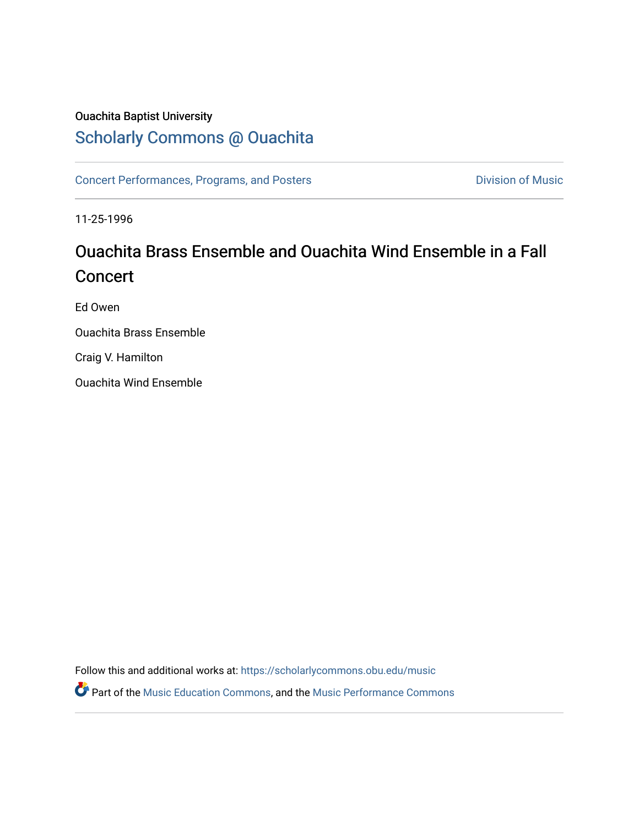## Ouachita Baptist University

# [Scholarly Commons @ Ouachita](https://scholarlycommons.obu.edu/)

[Concert Performances, Programs, and Posters](https://scholarlycommons.obu.edu/music) **Division of Music** Division of Music

11-25-1996

# Ouachita Brass Ensemble and Ouachita Wind Ensemble in a Fall **Concert**

Ed Owen

Ouachita Brass Ensemble

Craig V. Hamilton

Ouachita Wind Ensemble

Follow this and additional works at: [https://scholarlycommons.obu.edu/music](https://scholarlycommons.obu.edu/music?utm_source=scholarlycommons.obu.edu%2Fmusic%2F180&utm_medium=PDF&utm_campaign=PDFCoverPages) 

Part of the [Music Education Commons,](http://network.bepress.com/hgg/discipline/1246?utm_source=scholarlycommons.obu.edu%2Fmusic%2F180&utm_medium=PDF&utm_campaign=PDFCoverPages) and the [Music Performance Commons](http://network.bepress.com/hgg/discipline/1128?utm_source=scholarlycommons.obu.edu%2Fmusic%2F180&utm_medium=PDF&utm_campaign=PDFCoverPages)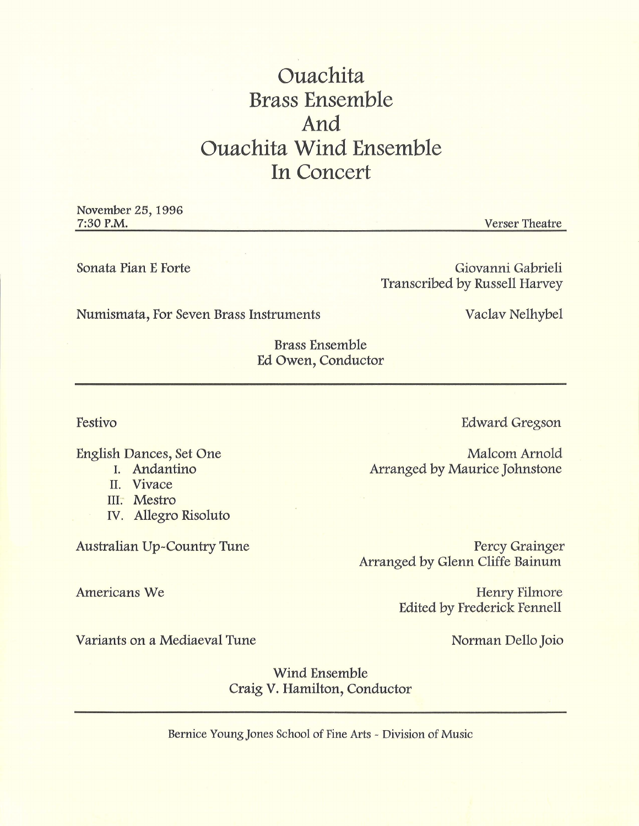# **Ouachita Brass Ensemble And Ouachita Wind Ensemble In Concert**

November 25, 1996 7:30 P.M.

Sonata Pian E Forte

Giovanni Gabrieli Transcribed by Russell Harvey

Numismata, For Seven Brass Instruments Vaclav Nelhybel

Verser Theatre

Brass Ensemble Ed Owen, Conductor

Festivo

English Dances, Set One 1. Andantino

- II. Vivace
- III. Mestro

Americans We

IV. Allegro Risoluto

Australian Up-Country Tune

Edward Gregson

Malcom Arnold Arranged by Maurice Johnstone

Percy Grainger Arranged by Glenn Cliffe Bainum

> Henry Filmore Edited by Frederick Fennell

Variants on a Mediaeval Tune

Norman Dello Joio

Wind Ensemble Craig V. Hamilton, Conductor

Bernice Young Jones School of Fine Arts - Division of Music